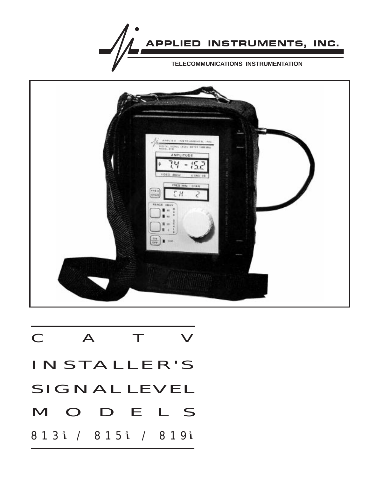